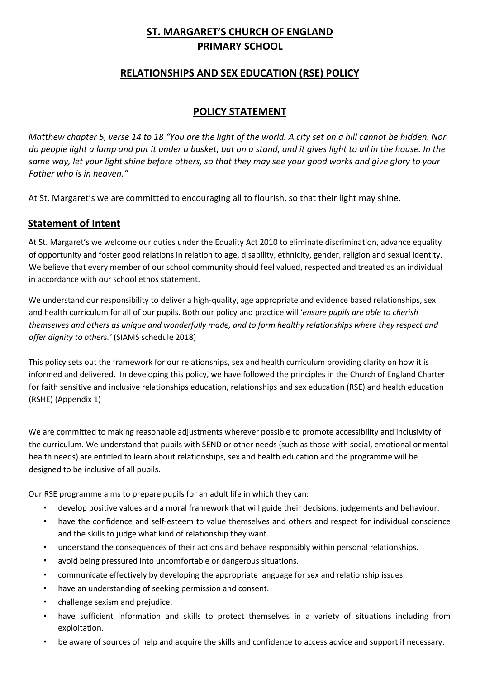# **ST. MARGARET'S CHURCH OF ENGLAND PRIMARY SCHOOL**

## **RELATIONSHIPS AND SEX EDUCATION (RSE) POLICY**

## **POLICY STATEMENT**

*Matthew chapter 5, verse 14 to 18 "You are the light of the world. A city set on a hill cannot be hidden. Nor do people light a lamp and put it under a basket, but on a stand, and it gives light to all in the house. In the same way, let your light shine before others, so that they may see your good works and give glory to your Father who is in heaven."* 

At St. Margaret's we are committed to encouraging all to flourish, so that their light may shine.

## **Statement of Intent**

At St. Margaret's we welcome our duties under the Equality Act 2010 to eliminate discrimination, advance equality of opportunity and foster good relations in relation to age, disability, ethnicity, gender, religion and sexual identity. We believe that every member of our school community should feel valued, respected and treated as an individual in accordance with our school ethos statement.

We understand our responsibility to deliver a high-quality, age appropriate and evidence based relationships, sex and health curriculum for all of our pupils. Both our policy and practice will '*ensure pupils are able to cherish themselves and others as unique and wonderfully made, and to form healthy relationships where they respect and offer dignity to others.'* (SIAMS schedule 2018)

This policy sets out the framework for our relationships, sex and health curriculum providing clarity on how it is informed and delivered. In developing this policy, we have followed the principles in the Church of England Charter for faith sensitive and inclusive relationships education, relationships and sex education (RSE) and health education (RSHE) (Appendix 1)

We are committed to making reasonable adjustments wherever possible to promote accessibility and inclusivity of the curriculum. We understand that pupils with SEND or other needs (such as those with social, emotional or mental health needs) are entitled to learn about relationships, sex and health education and the programme will be designed to be inclusive of all pupils.

Our RSE programme aims to prepare pupils for an adult life in which they can:

- develop positive values and a moral framework that will guide their decisions, judgements and behaviour.
- have the confidence and self-esteem to value themselves and others and respect for individual conscience and the skills to judge what kind of relationship they want.
- understand the consequences of their actions and behave responsibly within personal relationships.
- avoid being pressured into uncomfortable or dangerous situations.
- communicate effectively by developing the appropriate language for sex and relationship issues.
- have an understanding of seeking permission and consent.
- challenge sexism and prejudice.
- have sufficient information and skills to protect themselves in a variety of situations including from exploitation.
- be aware of sources of help and acquire the skills and confidence to access advice and support if necessary.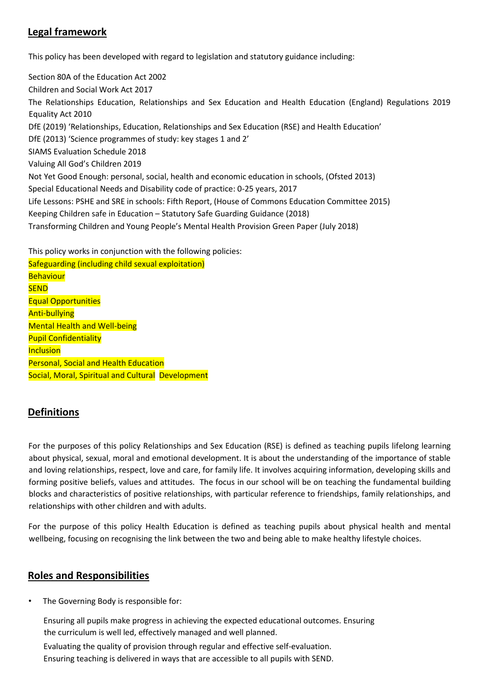# **Legal framework**

This policy has been developed with regard to legislation and statutory guidance including:

Section 80A of the Education Act 2002 Children and Social Work Act 2017 The Relationships Education, Relationships and Sex Education and Health Education (England) Regulations 2019 Equality Act 2010 DfE (2019) 'Relationships, Education, Relationships and Sex Education (RSE) and Health Education' DfE (2013) 'Science programmes of study: key stages 1 and 2' SIAMS Evaluation Schedule 2018 Valuing All God's Children 2019 Not Yet Good Enough: personal, social, health and economic education in schools, (Ofsted 2013) Special Educational Needs and Disability code of practice: 0-25 years, 2017 Life Lessons: PSHE and SRE in schools: Fifth Report, (House of Commons Education Committee 2015) Keeping Children safe in Education – Statutory Safe Guarding Guidance (2018) Transforming Children and Young People's Mental Health Provision Green Paper (July 2018)

This policy works in conjunction with the following policies:

Safeguarding (including child sexual exploitation) **Behaviour SEND** Equal Opportunities Anti-bullying Mental Health and Well-being Pupil Confidentiality **Inclusion** Personal, Social and Health Education Social, Moral, Spiritual and Cultural Development

## **Definitions**

For the purposes of this policy Relationships and Sex Education (RSE) is defined as teaching pupils lifelong learning about physical, sexual, moral and emotional development. It is about the understanding of the importance of stable and loving relationships, respect, love and care, for family life. It involves acquiring information, developing skills and forming positive beliefs, values and attitudes. The focus in our school will be on teaching the fundamental building blocks and characteristics of positive relationships, with particular reference to friendships, family relationships, and relationships with other children and with adults.

For the purpose of this policy Health Education is defined as teaching pupils about physical health and mental wellbeing, focusing on recognising the link between the two and being able to make healthy lifestyle choices.

## **Roles and Responsibilities**

The Governing Body is responsible for:

Ensuring all pupils make progress in achieving the expected educational outcomes. Ensuring the curriculum is well led, effectively managed and well planned. Evaluating the quality of provision through regular and effective self-evaluation. Ensuring teaching is delivered in ways that are accessible to all pupils with SEND.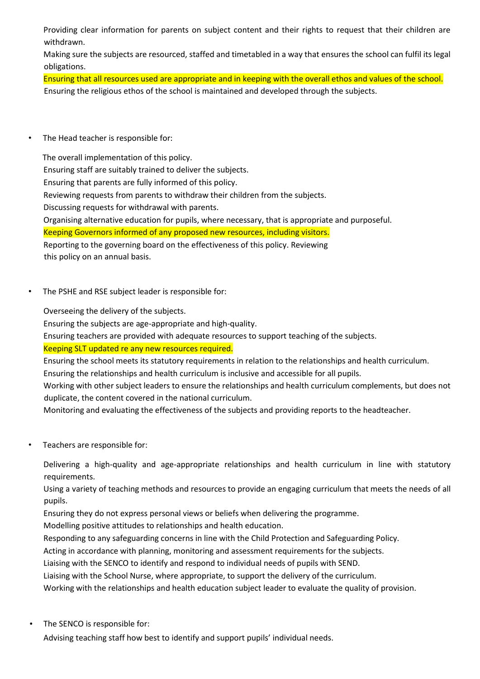Providing clear information for parents on subject content and their rights to request that their children are withdrawn.

Making sure the subjects are resourced, staffed and timetabled in a way that ensures the school can fulfil its legal obligations.

Ensuring that all resources used are appropriate and in keeping with the overall ethos and values of the school. Ensuring the religious ethos of the school is maintained and developed through the subjects.

• The Head teacher is responsible for:

 The overall implementation of this policy. Ensuring staff are suitably trained to deliver the subjects. Ensuring that parents are fully informed of this policy. Reviewing requests from parents to withdraw their children from the subjects. Discussing requests for withdrawal with parents. Organising alternative education for pupils, where necessary, that is appropriate and purposeful. Keeping Governors informed of any proposed new resources, including visitors. Reporting to the governing board on the effectiveness of this policy. Reviewing this policy on an annual basis.

The PSHE and RSE subject leader is responsible for:

Overseeing the delivery of the subjects.

Ensuring the subjects are age-appropriate and high-quality.

Ensuring teachers are provided with adequate resources to support teaching of the subjects.

### Keeping SLT updated re any new resources required.

Ensuring the school meets its statutory requirements in relation to the relationships and health curriculum. Ensuring the relationships and health curriculum is inclusive and accessible for all pupils.

Working with other subject leaders to ensure the relationships and health curriculum complements, but does not duplicate, the content covered in the national curriculum.

Monitoring and evaluating the effectiveness of the subjects and providing reports to the headteacher.

• Teachers are responsible for:

Delivering a high-quality and age-appropriate relationships and health curriculum in line with statutory requirements.

Using a variety of teaching methods and resources to provide an engaging curriculum that meets the needs of all pupils.

Ensuring they do not express personal views or beliefs when delivering the programme.

Modelling positive attitudes to relationships and health education.

Responding to any safeguarding concerns in line with the Child Protection and Safeguarding Policy.

Acting in accordance with planning, monitoring and assessment requirements for the subjects.

Liaising with the SENCO to identify and respond to individual needs of pupils with SEND.

Liaising with the School Nurse, where appropriate, to support the delivery of the curriculum.

Working with the relationships and health education subject leader to evaluate the quality of provision.

The SENCO is responsible for:

Advising teaching staff how best to identify and support pupils' individual needs.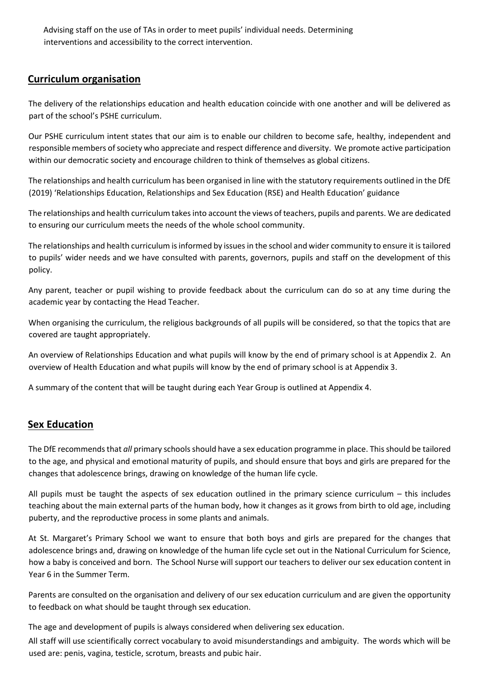Advising staff on the use of TAs in order to meet pupils' individual needs. Determining interventions and accessibility to the correct intervention.

## **Curriculum organisation**

The delivery of the relationships education and health education coincide with one another and will be delivered as part of the school's PSHE curriculum.

Our PSHE curriculum intent states that our aim is to enable our children to become safe, healthy, independent and responsible members of society who appreciate and respect difference and diversity. We promote active participation within our democratic society and encourage children to think of themselves as global citizens.

The relationships and health curriculum has been organised in line with the statutory requirements outlined in the DfE (2019) 'Relationships Education, Relationships and Sex Education (RSE) and Health Education' guidance

The relationships and health curriculum takes into account the views of teachers, pupils and parents. We are dedicated to ensuring our curriculum meets the needs of the whole school community.

The relationships and health curriculum is informed by issues in the school and wider community to ensure it is tailored to pupils' wider needs and we have consulted with parents, governors, pupils and staff on the development of this policy.

Any parent, teacher or pupil wishing to provide feedback about the curriculum can do so at any time during the academic year by contacting the Head Teacher.

When organising the curriculum, the religious backgrounds of all pupils will be considered, so that the topics that are covered are taught appropriately.

An overview of Relationships Education and what pupils will know by the end of primary school is at Appendix 2. An overview of Health Education and what pupils will know by the end of primary school is at Appendix 3.

A summary of the content that will be taught during each Year Group is outlined at Appendix 4.

## **Sex Education**

The DfE recommends that *all* primary schools should have a sex education programme in place. This should be tailored to the age, and physical and emotional maturity of pupils, and should ensure that boys and girls are prepared for the changes that adolescence brings, drawing on knowledge of the human life cycle.

All pupils must be taught the aspects of sex education outlined in the primary science curriculum – this includes teaching about the main external parts of the human body, how it changes as it grows from birth to old age, including puberty, and the reproductive process in some plants and animals.

At St. Margaret's Primary School we want to ensure that both boys and girls are prepared for the changes that adolescence brings and, drawing on knowledge of the human life cycle set out in the National Curriculum for Science, how a baby is conceived and born. The School Nurse will support our teachers to deliver our sex education content in Year 6 in the Summer Term.

Parents are consulted on the organisation and delivery of our sex education curriculum and are given the opportunity to feedback on what should be taught through sex education.

The age and development of pupils is always considered when delivering sex education.

All staff will use scientifically correct vocabulary to avoid misunderstandings and ambiguity. The words which will be used are: penis, vagina, testicle, scrotum, breasts and pubic hair.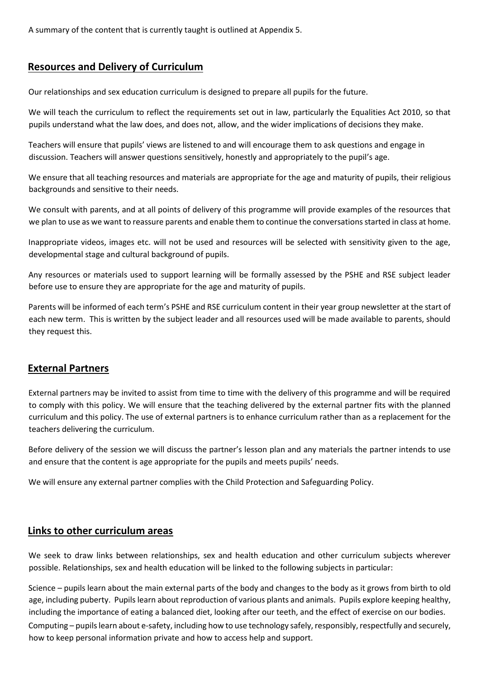A summary of the content that is currently taught is outlined at Appendix 5.

## **Resources and Delivery of Curriculum**

Our relationships and sex education curriculum is designed to prepare all pupils for the future.

We will teach the curriculum to reflect the requirements set out in law, particularly the Equalities Act 2010, so that pupils understand what the law does, and does not, allow, and the wider implications of decisions they make.

Teachers will ensure that pupils' views are listened to and will encourage them to ask questions and engage in discussion. Teachers will answer questions sensitively, honestly and appropriately to the pupil's age.

We ensure that all teaching resources and materials are appropriate for the age and maturity of pupils, their religious backgrounds and sensitive to their needs.

We consult with parents, and at all points of delivery of this programme will provide examples of the resources that we plan to use as we want to reassure parents and enable them to continue the conversations started in class at home.

Inappropriate videos, images etc. will not be used and resources will be selected with sensitivity given to the age, developmental stage and cultural background of pupils.

Any resources or materials used to support learning will be formally assessed by the PSHE and RSE subject leader before use to ensure they are appropriate for the age and maturity of pupils.

Parents will be informed of each term's PSHE and RSE curriculum content in their year group newsletter at the start of each new term. This is written by the subject leader and all resources used will be made available to parents, should they request this.

## **External Partners**

External partners may be invited to assist from time to time with the delivery of this programme and will be required to comply with this policy. We will ensure that the teaching delivered by the external partner fits with the planned curriculum and this policy. The use of external partners is to enhance curriculum rather than as a replacement for the teachers delivering the curriculum.

Before delivery of the session we will discuss the partner's lesson plan and any materials the partner intends to use and ensure that the content is age appropriate for the pupils and meets pupils' needs.

We will ensure any external partner complies with the Child Protection and Safeguarding Policy.

## **Links to other curriculum areas**

We seek to draw links between relationships, sex and health education and other curriculum subjects wherever possible. Relationships, sex and health education will be linked to the following subjects in particular:

Science – pupils learn about the main external parts of the body and changes to the body as it grows from birth to old age, including puberty. Pupils learn about reproduction of various plants and animals. Pupils explore keeping healthy, including the importance of eating a balanced diet, looking after our teeth, and the effect of exercise on our bodies. Computing – pupils learn about e-safety, including how to use technology safely, responsibly, respectfully and securely, how to keep personal information private and how to access help and support.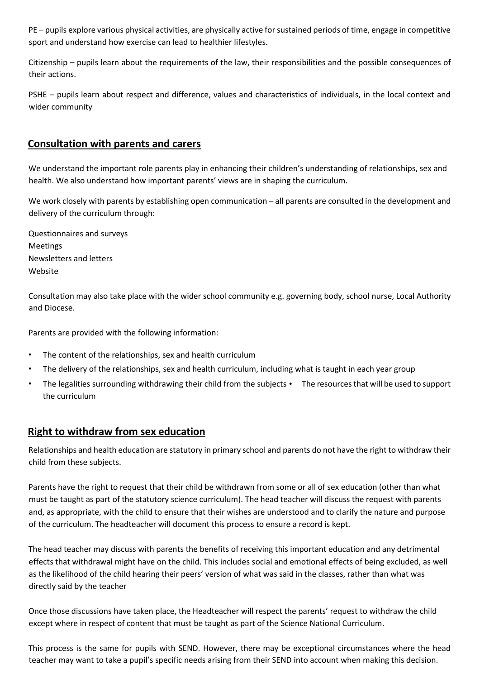PE – pupils explore various physical activities, are physically active for sustained periods of time, engage in competitive sport and understand how exercise can lead to healthier lifestyles.

Citizenship – pupils learn about the requirements of the law, their responsibilities and the possible consequences of their actions.

PSHE – pupils learn about respect and difference, values and characteristics of individuals, in the local context and wider community

### **Consultation with parents and carers**

We understand the important role parents play in enhancing their children's understanding of relationships, sex and health. We also understand how important parents' views are in shaping the curriculum.

We work closely with parents by establishing open communication – all parents are consulted in the development and delivery of the curriculum through:

Questionnaires and surveys Meetings Newsletters and letters Website

Consultation may also take place with the wider school community e.g. governing body, school nurse, Local Authority and Diocese.

Parents are provided with the following information:

- The content of the relationships, sex and health curriculum
- The delivery of the relationships, sex and health curriculum, including what is taught in each year group
- The legalities surrounding withdrawing their child from the subjects The resources that will be used to support the curriculum

### **Right to withdraw from sex education**

Relationships and health education are statutory in primary school and parents do not have the right to withdraw their child from these subjects.

Parents have the right to request that their child be withdrawn from some or all of sex education (other than what must be taught as part of the statutory science curriculum). The head teacher will discuss the request with parents and, as appropriate, with the child to ensure that their wishes are understood and to clarify the nature and purpose of the curriculum. The headteacher will document this process to ensure a record is kept.

The head teacher may discuss with parents the benefits of receiving this important education and any detrimental effects that withdrawal might have on the child. This includes social and emotional effects of being excluded, as well as the likelihood of the child hearing their peers' version of what was said in the classes, rather than what was directly said by the teacher

Once those discussions have taken place, the Headteacher will respect the parents' request to withdraw the child except where in respect of content that must be taught as part of the Science National Curriculum.

This process is the same for pupils with SEND. However, there may be exceptional circumstances where the head teacher may want to take a pupil's specific needs arising from their SEND into account when making this decision.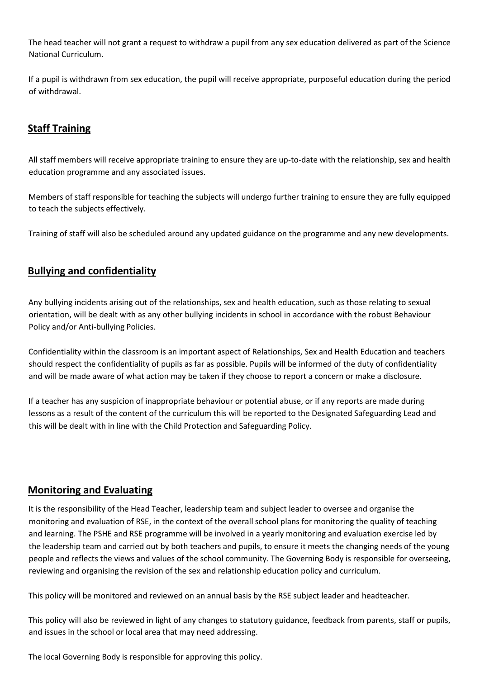The head teacher will not grant a request to withdraw a pupil from any sex education delivered as part of the Science National Curriculum.

If a pupil is withdrawn from sex education, the pupil will receive appropriate, purposeful education during the period of withdrawal.

## **Staff Training**

All staff members will receive appropriate training to ensure they are up-to-date with the relationship, sex and health education programme and any associated issues.

Members of staff responsible for teaching the subjects will undergo further training to ensure they are fully equipped to teach the subjects effectively.

Training of staff will also be scheduled around any updated guidance on the programme and any new developments.

## **Bullying and confidentiality**

Any bullying incidents arising out of the relationships, sex and health education, such as those relating to sexual orientation, will be dealt with as any other bullying incidents in school in accordance with the robust Behaviour Policy and/or Anti-bullying Policies.

Confidentiality within the classroom is an important aspect of Relationships, Sex and Health Education and teachers should respect the confidentiality of pupils as far as possible. Pupils will be informed of the duty of confidentiality and will be made aware of what action may be taken if they choose to report a concern or make a disclosure.

If a teacher has any suspicion of inappropriate behaviour or potential abuse, or if any reports are made during lessons as a result of the content of the curriculum this will be reported to the Designated Safeguarding Lead and this will be dealt with in line with the Child Protection and Safeguarding Policy.

## **Monitoring and Evaluating**

It is the responsibility of the Head Teacher, leadership team and subject leader to oversee and organise the monitoring and evaluation of RSE, in the context of the overall school plans for monitoring the quality of teaching and learning. The PSHE and RSE programme will be involved in a yearly monitoring and evaluation exercise led by the leadership team and carried out by both teachers and pupils, to ensure it meets the changing needs of the young people and reflects the views and values of the school community. The Governing Body is responsible for overseeing, reviewing and organising the revision of the sex and relationship education policy and curriculum.

This policy will be monitored and reviewed on an annual basis by the RSE subject leader and headteacher.

This policy will also be reviewed in light of any changes to statutory guidance, feedback from parents, staff or pupils, and issues in the school or local area that may need addressing.

The local Governing Body is responsible for approving this policy.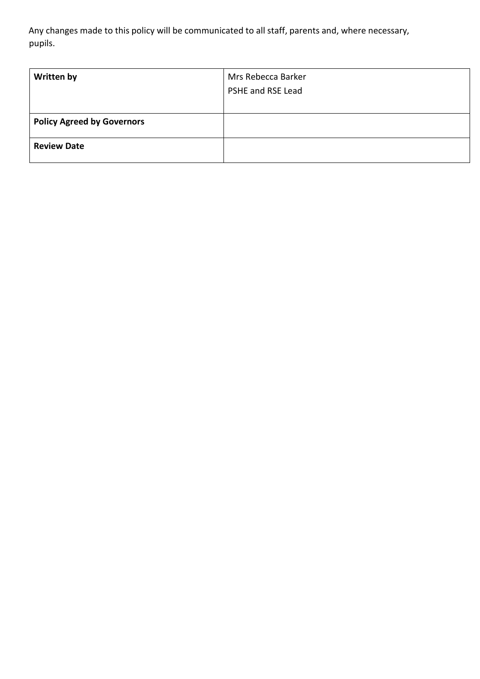Any changes made to this policy will be communicated to all staff, parents and, where necessary, pupils.

| <b>Written by</b>                 | Mrs Rebecca Barker<br>PSHE and RSE Lead |
|-----------------------------------|-----------------------------------------|
| <b>Policy Agreed by Governors</b> |                                         |
| <b>Review Date</b>                |                                         |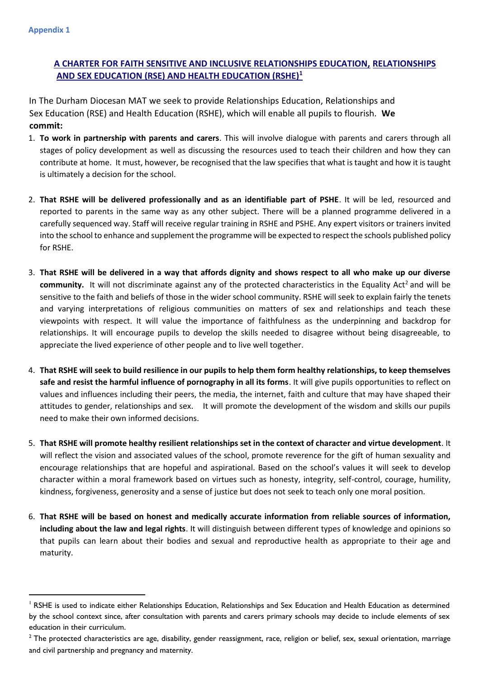**Appendix 1** 

1

## **A CHARTER FOR FAITH SENSITIVE AND INCLUSIVE RELATIONSHIPS EDUCATION, RELATIONSHIPS AND SEX EDUCATION (RSE) AND HEALTH EDUCATION (RSHE)<sup>1</sup>**

In The Durham Diocesan MAT we seek to provide Relationships Education, Relationships and Sex Education (RSE) and Health Education (RSHE), which will enable all pupils to flourish. **We commit:** 

- 1. **To work in partnership with parents and carers**. This will involve dialogue with parents and carers through all stages of policy development as well as discussing the resources used to teach their children and how they can contribute at home. It must, however, be recognised that the law specifies that what is taught and how it is taught is ultimately a decision for the school.
- 2. **That RSHE will be delivered professionally and as an identifiable part of PSHE**. It will be led, resourced and reported to parents in the same way as any other subject. There will be a planned programme delivered in a carefully sequenced way. Staff will receive regular training in RSHE and PSHE. Any expert visitors or trainers invited into the school to enhance and supplement the programme will be expected to respect the schools published policy for RSHE.
- 3. **That RSHE will be delivered in a way that affords dignity and shows respect to all who make up our diverse community.** It will not discriminate against any of the protected characteristics in the Equality Act<sup>2</sup> and will be sensitive to the faith and beliefs of those in the wider school community. RSHE will seek to explain fairly the tenets and varying interpretations of religious communities on matters of sex and relationships and teach these viewpoints with respect. It will value the importance of faithfulness as the underpinning and backdrop for relationships. It will encourage pupils to develop the skills needed to disagree without being disagreeable, to appreciate the lived experience of other people and to live well together.
- 4. **That RSHE will seek to build resilience in our pupils to help them form healthy relationships, to keep themselves safe and resist the harmful influence of pornography in all its forms**. It will give pupils opportunities to reflect on values and influences including their peers, the media, the internet, faith and culture that may have shaped their attitudes to gender, relationships and sex. It will promote the development of the wisdom and skills our pupils need to make their own informed decisions.
- 5. **That RSHE will promote healthy resilient relationships set in the context of character and virtue development**. It will reflect the vision and associated values of the school, promote reverence for the gift of human sexuality and encourage relationships that are hopeful and aspirational. Based on the school's values it will seek to develop character within a moral framework based on virtues such as honesty, integrity, self-control, courage, humility, kindness, forgiveness, generosity and a sense of justice but does not seek to teach only one moral position.
- 6. **That RSHE will be based on honest and medically accurate information from reliable sources of information, including about the law and legal rights**. It will distinguish between different types of knowledge and opinions so that pupils can learn about their bodies and sexual and reproductive health as appropriate to their age and maturity.

<sup>&</sup>lt;sup>1</sup> RSHE is used to indicate either Relationships Education, Relationships and Sex Education and Health Education as determined by the school context since, after consultation with parents and carers primary schools may decide to include elements of sex education in their curriculum.

 $2$  The protected characteristics are age, disability, gender reassignment, race, religion or belief, sex, sexual orientation, marriage and civil partnership and pregnancy and maternity.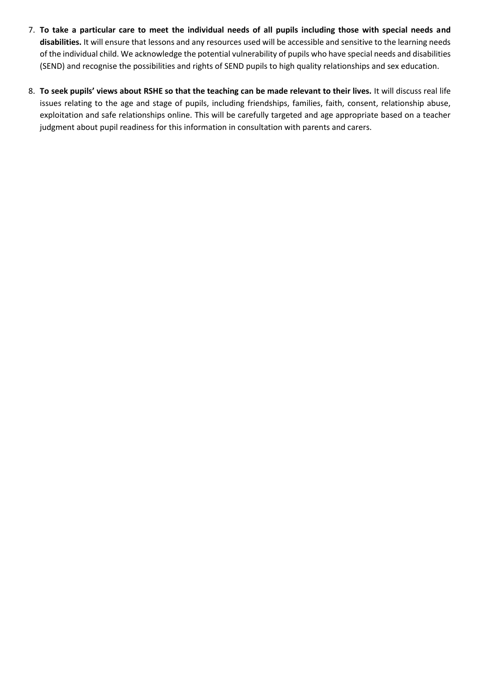- 7. **To take a particular care to meet the individual needs of all pupils including those with special needs and disabilities.** It will ensure that lessons and any resources used will be accessible and sensitive to the learning needs of the individual child. We acknowledge the potential vulnerability of pupils who have special needs and disabilities (SEND) and recognise the possibilities and rights of SEND pupils to high quality relationships and sex education.
- 8. **To seek pupils' views about RSHE so that the teaching can be made relevant to their lives.** It will discuss real life issues relating to the age and stage of pupils, including friendships, families, faith, consent, relationship abuse, exploitation and safe relationships online. This will be carefully targeted and age appropriate based on a teacher judgment about pupil readiness for this information in consultation with parents and carers.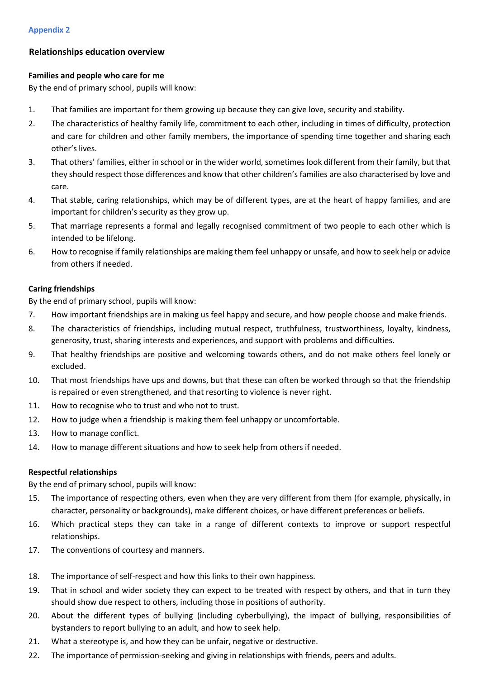#### **Relationships education overview**

#### **Families and people who care for me**

By the end of primary school, pupils will know:

- 1. That families are important for them growing up because they can give love, security and stability.
- 2. The characteristics of healthy family life, commitment to each other, including in times of difficulty, protection and care for children and other family members, the importance of spending time together and sharing each other's lives.
- 3. That others' families, either in school or in the wider world, sometimes look different from their family, but that they should respect those differences and know that other children's families are also characterised by love and care.
- 4. That stable, caring relationships, which may be of different types, are at the heart of happy families, and are important for children's security as they grow up.
- 5. That marriage represents a formal and legally recognised commitment of two people to each other which is intended to be lifelong.
- 6. How to recognise if family relationships are making them feel unhappy or unsafe, and how to seek help or advice from others if needed.

#### **Caring friendships**

By the end of primary school, pupils will know:

- 7. How important friendships are in making us feel happy and secure, and how people choose and make friends.
- 8. The characteristics of friendships, including mutual respect, truthfulness, trustworthiness, loyalty, kindness, generosity, trust, sharing interests and experiences, and support with problems and difficulties.
- 9. That healthy friendships are positive and welcoming towards others, and do not make others feel lonely or excluded.
- 10. That most friendships have ups and downs, but that these can often be worked through so that the friendship is repaired or even strengthened, and that resorting to violence is never right.
- 11. How to recognise who to trust and who not to trust.
- 12. How to judge when a friendship is making them feel unhappy or uncomfortable.
- 13. How to manage conflict.
- 14. How to manage different situations and how to seek help from others if needed.

#### **Respectful relationships**

By the end of primary school, pupils will know:

- 15. The importance of respecting others, even when they are very different from them (for example, physically, in character, personality or backgrounds), make different choices, or have different preferences or beliefs.
- 16. Which practical steps they can take in a range of different contexts to improve or support respectful relationships.
- 17. The conventions of courtesy and manners.
- 18. The importance of self-respect and how this links to their own happiness.
- 19. That in school and wider society they can expect to be treated with respect by others, and that in turn they should show due respect to others, including those in positions of authority.
- 20. About the different types of bullying (including cyberbullying), the impact of bullying, responsibilities of bystanders to report bullying to an adult, and how to seek help.
- 21. What a stereotype is, and how they can be unfair, negative or destructive.
- 22. The importance of permission-seeking and giving in relationships with friends, peers and adults.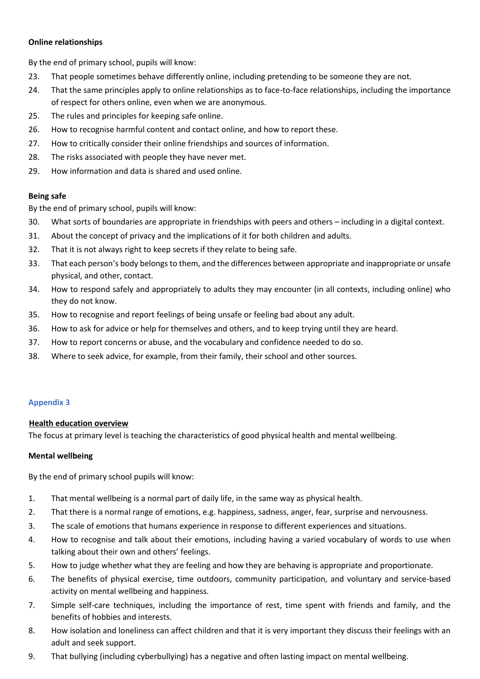#### **Online relationships**

By the end of primary school, pupils will know:

- 23. That people sometimes behave differently online, including pretending to be someone they are not.
- 24. That the same principles apply to online relationships as to face-to-face relationships, including the importance of respect for others online, even when we are anonymous.
- 25. The rules and principles for keeping safe online.
- 26. How to recognise harmful content and contact online, and how to report these.
- 27. How to critically consider their online friendships and sources of information.
- 28. The risks associated with people they have never met.
- 29. How information and data is shared and used online.

#### **Being safe**

By the end of primary school, pupils will know:

- 30. What sorts of boundaries are appropriate in friendships with peers and others including in a digital context.
- 31. About the concept of privacy and the implications of it for both children and adults.
- 32. That it is not always right to keep secrets if they relate to being safe.
- 33. That each person's body belongs to them, and the differences between appropriate and inappropriate or unsafe physical, and other, contact.
- 34. How to respond safely and appropriately to adults they may encounter (in all contexts, including online) who they do not know.
- 35. How to recognise and report feelings of being unsafe or feeling bad about any adult.
- 36. How to ask for advice or help for themselves and others, and to keep trying until they are heard.
- 37. How to report concerns or abuse, and the vocabulary and confidence needed to do so.
- 38. Where to seek advice, for example, from their family, their school and other sources.

### **Appendix 3**

#### **Health education overview**

The focus at primary level is teaching the characteristics of good physical health and mental wellbeing.

#### **Mental wellbeing**

By the end of primary school pupils will know:

- 1. That mental wellbeing is a normal part of daily life, in the same way as physical health.
- 2. That there is a normal range of emotions, e.g. happiness, sadness, anger, fear, surprise and nervousness.
- 3. The scale of emotions that humans experience in response to different experiences and situations.
- 4. How to recognise and talk about their emotions, including having a varied vocabulary of words to use when talking about their own and others' feelings.
- 5. How to judge whether what they are feeling and how they are behaving is appropriate and proportionate.
- 6. The benefits of physical exercise, time outdoors, community participation, and voluntary and service-based activity on mental wellbeing and happiness.
- 7. Simple self-care techniques, including the importance of rest, time spent with friends and family, and the benefits of hobbies and interests.
- 8. How isolation and loneliness can affect children and that it is very important they discuss their feelings with an adult and seek support.
- 9. That bullying (including cyberbullying) has a negative and often lasting impact on mental wellbeing.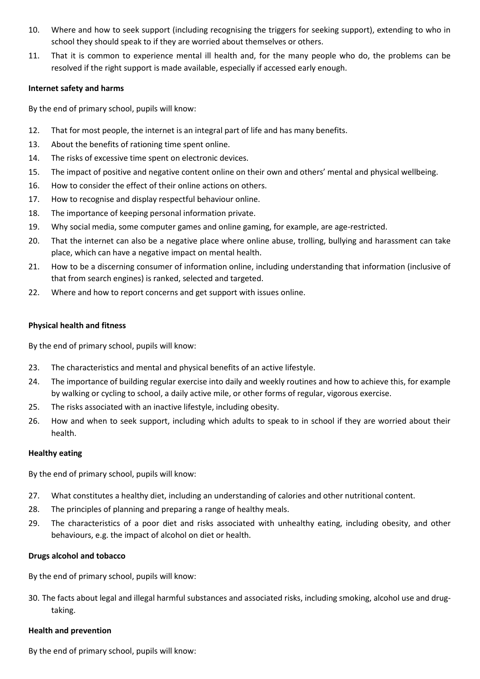- 10. Where and how to seek support (including recognising the triggers for seeking support), extending to who in school they should speak to if they are worried about themselves or others.
- 11. That it is common to experience mental ill health and, for the many people who do, the problems can be resolved if the right support is made available, especially if accessed early enough.

#### **Internet safety and harms**

By the end of primary school, pupils will know:

- 12. That for most people, the internet is an integral part of life and has many benefits.
- 13. About the benefits of rationing time spent online.
- 14. The risks of excessive time spent on electronic devices.
- 15. The impact of positive and negative content online on their own and others' mental and physical wellbeing.
- 16. How to consider the effect of their online actions on others.
- 17. How to recognise and display respectful behaviour online.
- 18. The importance of keeping personal information private.
- 19. Why social media, some computer games and online gaming, for example, are age-restricted.
- 20. That the internet can also be a negative place where online abuse, trolling, bullying and harassment can take place, which can have a negative impact on mental health.
- 21. How to be a discerning consumer of information online, including understanding that information (inclusive of that from search engines) is ranked, selected and targeted.
- 22. Where and how to report concerns and get support with issues online.

#### **Physical health and fitness**

By the end of primary school, pupils will know:

- 23. The characteristics and mental and physical benefits of an active lifestyle.
- 24. The importance of building regular exercise into daily and weekly routines and how to achieve this, for example by walking or cycling to school, a daily active mile, or other forms of regular, vigorous exercise.
- 25. The risks associated with an inactive lifestyle, including obesity.
- 26. How and when to seek support, including which adults to speak to in school if they are worried about their health.

#### **Healthy eating**

By the end of primary school, pupils will know:

- 27. What constitutes a healthy diet, including an understanding of calories and other nutritional content.
- 28. The principles of planning and preparing a range of healthy meals.
- 29. The characteristics of a poor diet and risks associated with unhealthy eating, including obesity, and other behaviours, e.g. the impact of alcohol on diet or health.

#### **Drugs alcohol and tobacco**

By the end of primary school, pupils will know:

30. The facts about legal and illegal harmful substances and associated risks, including smoking, alcohol use and drugtaking.

#### **Health and prevention**

By the end of primary school, pupils will know: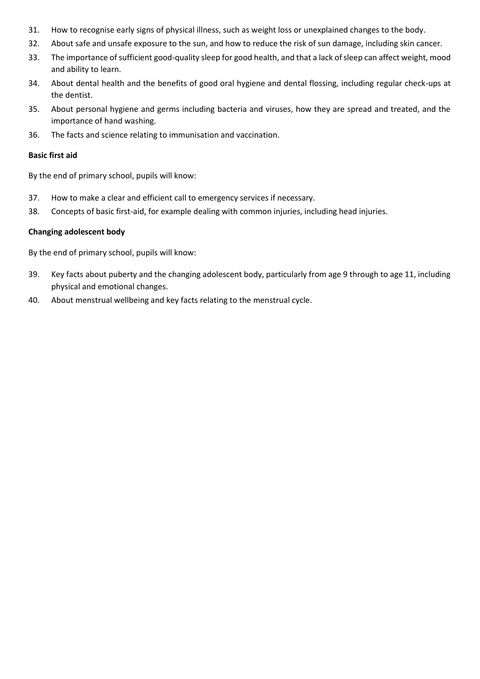- 31. How to recognise early signs of physical illness, such as weight loss or unexplained changes to the body.
- 32. About safe and unsafe exposure to the sun, and how to reduce the risk of sun damage, including skin cancer.
- 33. The importance of sufficient good-quality sleep for good health, and that a lack of sleep can affect weight, mood and ability to learn.
- 34. About dental health and the benefits of good oral hygiene and dental flossing, including regular check-ups at the dentist.
- 35. About personal hygiene and germs including bacteria and viruses, how they are spread and treated, and the importance of hand washing.
- 36. The facts and science relating to immunisation and vaccination.

#### **Basic first aid**

By the end of primary school, pupils will know:

- 37. How to make a clear and efficient call to emergency services if necessary.
- 38. Concepts of basic first-aid, for example dealing with common injuries, including head injuries.

#### **Changing adolescent body**

By the end of primary school, pupils will know:

- 39. Key facts about puberty and the changing adolescent body, particularly from age 9 through to age 11, including physical and emotional changes.
- 40. About menstrual wellbeing and key facts relating to the menstrual cycle.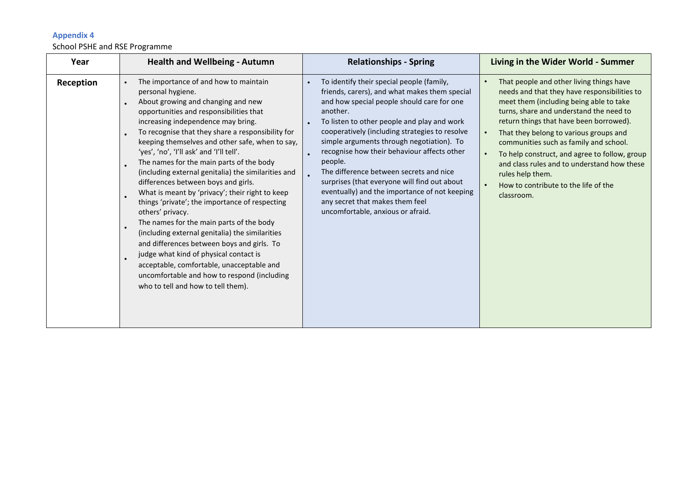### **Appendix 4**

### School PSHE and RSE Programme

| Year      | <b>Health and Wellbeing - Autumn</b>                                                                                                                                                                                                                                                                                                                                                                                                                                                                                                                                                                                                                                                                                                                                                                                                                                                                                              | <b>Relationships - Spring</b>                                                                                                                                                                                                                                                                                                                                                                                                                                                                                                                                                    | Living in the Wider World - Summer                                                                                                                                                                                                                                                                                                                                                                                                                                                                                                          |
|-----------|-----------------------------------------------------------------------------------------------------------------------------------------------------------------------------------------------------------------------------------------------------------------------------------------------------------------------------------------------------------------------------------------------------------------------------------------------------------------------------------------------------------------------------------------------------------------------------------------------------------------------------------------------------------------------------------------------------------------------------------------------------------------------------------------------------------------------------------------------------------------------------------------------------------------------------------|----------------------------------------------------------------------------------------------------------------------------------------------------------------------------------------------------------------------------------------------------------------------------------------------------------------------------------------------------------------------------------------------------------------------------------------------------------------------------------------------------------------------------------------------------------------------------------|---------------------------------------------------------------------------------------------------------------------------------------------------------------------------------------------------------------------------------------------------------------------------------------------------------------------------------------------------------------------------------------------------------------------------------------------------------------------------------------------------------------------------------------------|
| Reception | The importance of and how to maintain<br>personal hygiene.<br>About growing and changing and new<br>opportunities and responsibilities that<br>increasing independence may bring.<br>To recognise that they share a responsibility for<br>keeping themselves and other safe, when to say,<br>'yes', 'no', 'I'll ask' and 'I'll tell'.<br>The names for the main parts of the body<br>(including external genitalia) the similarities and<br>differences between boys and girls.<br>What is meant by 'privacy'; their right to keep<br>things 'private'; the importance of respecting<br>others' privacy.<br>The names for the main parts of the body<br>(including external genitalia) the similarities<br>and differences between boys and girls. To<br>judge what kind of physical contact is<br>acceptable, comfortable, unacceptable and<br>uncomfortable and how to respond (including<br>who to tell and how to tell them). | To identify their special people (family,<br>friends, carers), and what makes them special<br>and how special people should care for one<br>another.<br>To listen to other people and play and work<br>cooperatively (including strategies to resolve<br>simple arguments through negotiation). To<br>recognise how their behaviour affects other<br>people.<br>The difference between secrets and nice<br>surprises (that everyone will find out about<br>eventually) and the importance of not keeping<br>any secret that makes them feel<br>uncomfortable, anxious or afraid. | That people and other living things have<br>$\bullet$<br>needs and that they have responsibilities to<br>meet them (including being able to take<br>turns, share and understand the need to<br>return things that have been borrowed).<br>That they belong to various groups and<br>$\bullet$<br>communities such as family and school.<br>To help construct, and agree to follow, group<br>$\bullet$<br>and class rules and to understand how these<br>rules help them.<br>How to contribute to the life of the<br>$\bullet$<br>classroom. |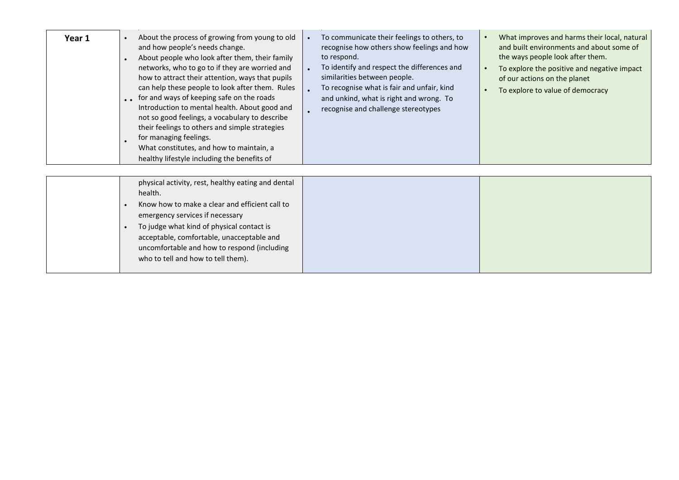| Year 1 | About the process of growing from young to old<br>$\bullet$<br>and how people's needs change.<br>About people who look after them, their family<br>networks, who to go to if they are worried and<br>how to attract their attention, ways that pupils<br>can help these people to look after them. Rules<br>. for and ways of keeping safe on the roads<br>Introduction to mental health. About good and<br>not so good feelings, a vocabulary to describe<br>their feelings to others and simple strategies<br>for managing feelings.<br>What constitutes, and how to maintain, a<br>healthy lifestyle including the benefits of | To communicate their feelings to others, to<br>recognise how others show feelings and how<br>to respond.<br>To identify and respect the differences and<br>similarities between people.<br>To recognise what is fair and unfair, kind<br>and unkind, what is right and wrong. To<br>recognise and challenge stereotypes | What improves and harms their local, natural<br>and built environments and about some of<br>the ways people look after them.<br>To explore the positive and negative impact<br>of our actions on the planet<br>To explore to value of democracy |
|--------|-----------------------------------------------------------------------------------------------------------------------------------------------------------------------------------------------------------------------------------------------------------------------------------------------------------------------------------------------------------------------------------------------------------------------------------------------------------------------------------------------------------------------------------------------------------------------------------------------------------------------------------|-------------------------------------------------------------------------------------------------------------------------------------------------------------------------------------------------------------------------------------------------------------------------------------------------------------------------|-------------------------------------------------------------------------------------------------------------------------------------------------------------------------------------------------------------------------------------------------|
|        | physical activity, rest, healthy eating and dental<br>health.<br>Know how to make a clear and efficient call to<br>emergency services if necessary<br>To judge what kind of physical contact is<br>acceptable, comfortable, unacceptable and<br>uncomfortable and how to respond (including<br>who to tell and how to tell them).                                                                                                                                                                                                                                                                                                 |                                                                                                                                                                                                                                                                                                                         |                                                                                                                                                                                                                                                 |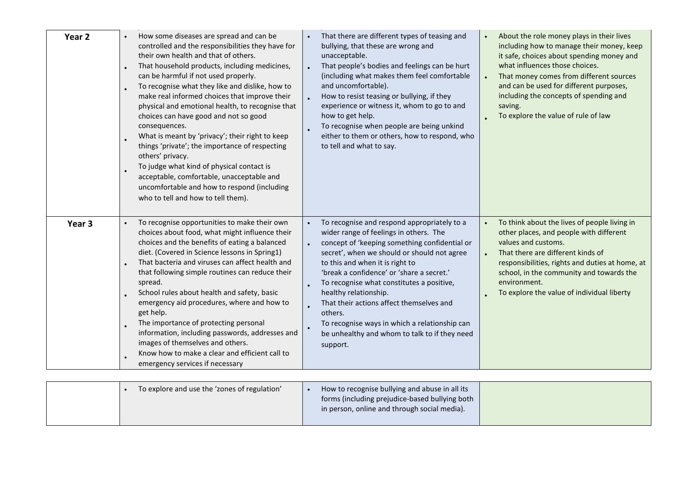| Year <sub>2</sub> | How some diseases are spread and can be<br>controlled and the responsibilities they have for<br>their own health and that of others.<br>That household products, including medicines,<br>can be harmful if not used properly.<br>To recognise what they like and dislike, how to<br>make real informed choices that improve their<br>physical and emotional health, to recognise that<br>choices can have good and not so good<br>consequences.<br>What is meant by 'privacy'; their right to keep<br>things 'private'; the importance of respecting<br>others' privacy.<br>To judge what kind of physical contact is<br>acceptable, comfortable, unacceptable and<br>uncomfortable and how to respond (including<br>who to tell and how to tell them). | That there are different types of teasing and<br>bullying, that these are wrong and<br>unacceptable.<br>That people's bodies and feelings can be hurt<br>(including what makes them feel comfortable<br>and uncomfortable).<br>How to resist teasing or bullying, if they<br>experience or witness it, whom to go to and<br>how to get help.<br>To recognise when people are being unkind<br>either to them or others, how to respond, who<br>to tell and what to say.                                           | $\bullet$<br>$\bullet$            | About the role money plays in their lives<br>including how to manage their money, keep<br>it safe, choices about spending money and<br>what influences those choices.<br>That money comes from different sources<br>and can be used for different purposes,<br>including the concepts of spending and<br>saving.<br>To explore the value of rule of law |
|-------------------|---------------------------------------------------------------------------------------------------------------------------------------------------------------------------------------------------------------------------------------------------------------------------------------------------------------------------------------------------------------------------------------------------------------------------------------------------------------------------------------------------------------------------------------------------------------------------------------------------------------------------------------------------------------------------------------------------------------------------------------------------------|------------------------------------------------------------------------------------------------------------------------------------------------------------------------------------------------------------------------------------------------------------------------------------------------------------------------------------------------------------------------------------------------------------------------------------------------------------------------------------------------------------------|-----------------------------------|---------------------------------------------------------------------------------------------------------------------------------------------------------------------------------------------------------------------------------------------------------------------------------------------------------------------------------------------------------|
| Year <sub>3</sub> | To recognise opportunities to make their own<br>choices about food, what might influence their<br>choices and the benefits of eating a balanced<br>diet. (Covered in Science lessons in Spring1)<br>That bacteria and viruses can affect health and<br>that following simple routines can reduce their<br>spread.<br>School rules about health and safety, basic<br>emergency aid procedures, where and how to<br>get help.<br>The importance of protecting personal<br>information, including passwords, addresses and<br>images of themselves and others.<br>Know how to make a clear and efficient call to<br>emergency services if necessary                                                                                                        | To recognise and respond appropriately to a<br>wider range of feelings in others. The<br>concept of 'keeping something confidential or<br>secret', when we should or should not agree<br>to this and when it is right to<br>'break a confidence' or 'share a secret.'<br>To recognise what constitutes a positive,<br>healthy relationship.<br>That their actions affect themselves and<br>others.<br>To recognise ways in which a relationship can<br>be unhealthy and whom to talk to if they need<br>support. | $\bullet$<br>$\ddot{\phantom{0}}$ | To think about the lives of people living in<br>other places, and people with different<br>values and customs.<br>That there are different kinds of<br>responsibilities, rights and duties at home, at<br>school, in the community and towards the<br>environment.<br>To explore the value of individual liberty                                        |
|                   | To explore and use the 'zones of regulation'                                                                                                                                                                                                                                                                                                                                                                                                                                                                                                                                                                                                                                                                                                            | How to recognise bullying and abuse in all its<br>forms (including prejudice-based bullying both                                                                                                                                                                                                                                                                                                                                                                                                                 |                                   |                                                                                                                                                                                                                                                                                                                                                         |
|                   |                                                                                                                                                                                                                                                                                                                                                                                                                                                                                                                                                                                                                                                                                                                                                         | in person, online and through social media).                                                                                                                                                                                                                                                                                                                                                                                                                                                                     |                                   |                                                                                                                                                                                                                                                                                                                                                         |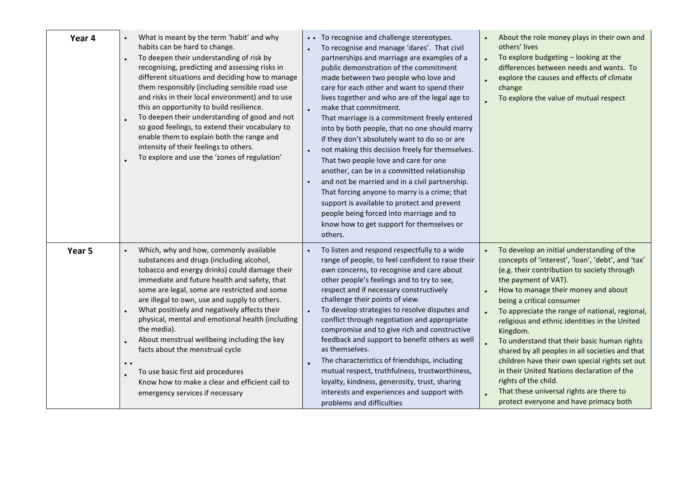| Year 4 | What is meant by the term 'habit' and why<br>habits can be hard to change.<br>To deepen their understanding of risk by<br>$\ddot{\phantom{0}}$<br>recognising, predicting and assessing risks in<br>different situations and deciding how to manage<br>them responsibly (including sensible road use<br>and risks in their local environment) and to use<br>this an opportunity to build resilience.<br>To deepen their understanding of good and not<br>so good feelings, to extend their vocabulary to<br>enable them to explain both the range and<br>intensity of their feelings to others.<br>To explore and use the 'zones of regulation' | • • To recognise and challenge stereotypes.<br>To recognise and manage 'dares'. That civil<br>partnerships and marriage are examples of a<br>public demonstration of the commitment<br>made between two people who love and<br>care for each other and want to spend their<br>lives together and who are of the legal age to<br>make that commitment.<br>That marriage is a commitment freely entered<br>into by both people, that no one should marry<br>if they don't absolutely want to do so or are<br>not making this decision freely for themselves.<br>That two people love and care for one<br>another, can be in a committed relationship<br>and not be married and in a civil partnership.<br>That forcing anyone to marry is a crime; that<br>support is available to protect and prevent<br>people being forced into marriage and to<br>know how to get support for themselves or<br>others. | About the role money plays in their own and<br>$\bullet$<br>others' lives<br>To explore budgeting - looking at the<br>differences between needs and wants. To<br>explore the causes and effects of climate<br>change<br>To explore the value of mutual respect                                                                                                                                                                                                                                                                                                                                                                                                                                      |
|--------|-------------------------------------------------------------------------------------------------------------------------------------------------------------------------------------------------------------------------------------------------------------------------------------------------------------------------------------------------------------------------------------------------------------------------------------------------------------------------------------------------------------------------------------------------------------------------------------------------------------------------------------------------|----------------------------------------------------------------------------------------------------------------------------------------------------------------------------------------------------------------------------------------------------------------------------------------------------------------------------------------------------------------------------------------------------------------------------------------------------------------------------------------------------------------------------------------------------------------------------------------------------------------------------------------------------------------------------------------------------------------------------------------------------------------------------------------------------------------------------------------------------------------------------------------------------------|-----------------------------------------------------------------------------------------------------------------------------------------------------------------------------------------------------------------------------------------------------------------------------------------------------------------------------------------------------------------------------------------------------------------------------------------------------------------------------------------------------------------------------------------------------------------------------------------------------------------------------------------------------------------------------------------------------|
| Year 5 | Which, why and how, commonly available<br>substances and drugs (including alcohol,<br>tobacco and energy drinks) could damage their<br>immediate and future health and safety, that<br>some are legal, some are restricted and some<br>are illegal to own, use and supply to others.<br>What positively and negatively affects their<br>physical, mental and emotional health (including<br>the media).<br>About menstrual wellbeing including the key<br>$\bullet$<br>facts about the menstrual cycle<br>$\bullet$<br>To use basic first aid procedures<br>Know how to make a clear and efficient call to<br>emergency services if necessary   | To listen and respond respectfully to a wide<br>range of people, to feel confident to raise their<br>own concerns, to recognise and care about<br>other people's feelings and to try to see,<br>respect and if necessary constructively<br>challenge their points of view.<br>To develop strategies to resolve disputes and<br>conflict through negotiation and appropriate<br>compromise and to give rich and constructive<br>feedback and support to benefit others as well<br>as themselves.<br>The characteristics of friendships, including<br>mutual respect, truthfulness, trustworthiness,<br>loyalty, kindness, generosity, trust, sharing<br>interests and experiences and support with<br>problems and difficulties                                                                                                                                                                           | To develop an initial understanding of the<br>$\bullet$<br>concepts of 'interest', 'loan', 'debt', and 'tax'<br>(e.g. their contribution to society through<br>the payment of VAT).<br>How to manage their money and about<br>$\bullet$<br>being a critical consumer<br>To appreciate the range of national, regional,<br>religious and ethnic identities in the United<br>Kingdom.<br>To understand that their basic human rights<br>shared by all peoples in all societies and that<br>children have their own special rights set out<br>in their United Nations declaration of the<br>rights of the child.<br>That these universal rights are there to<br>protect everyone and have primacy both |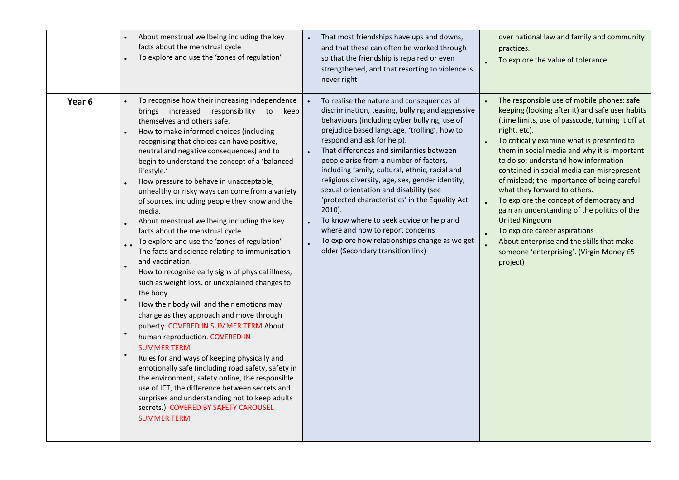|        | About menstrual wellbeing including the key<br>facts about the menstrual cycle<br>To explore and use the 'zones of regulation'                                                                                                                                                                                                                                                                                                                                                                                                                                                                                                                                                                                                                                                                                                                                                                                                                                                                                                                                                                                                                                                                                                                                                                                                                 | That most friendships have ups and downs,<br>and that these can often be worked through<br>so that the friendship is repaired or even<br>strengthened, and that resorting to violence is<br>never right                                                                                                                                                                                                                                                                                                                                                                                                                                                                                                                           | over national law and family and community<br>practices.<br>To explore the value of tolerance                                                                                                                                                                                                                                                                                                                                                                                                                                                                                                                                                                                                  |
|--------|------------------------------------------------------------------------------------------------------------------------------------------------------------------------------------------------------------------------------------------------------------------------------------------------------------------------------------------------------------------------------------------------------------------------------------------------------------------------------------------------------------------------------------------------------------------------------------------------------------------------------------------------------------------------------------------------------------------------------------------------------------------------------------------------------------------------------------------------------------------------------------------------------------------------------------------------------------------------------------------------------------------------------------------------------------------------------------------------------------------------------------------------------------------------------------------------------------------------------------------------------------------------------------------------------------------------------------------------|-----------------------------------------------------------------------------------------------------------------------------------------------------------------------------------------------------------------------------------------------------------------------------------------------------------------------------------------------------------------------------------------------------------------------------------------------------------------------------------------------------------------------------------------------------------------------------------------------------------------------------------------------------------------------------------------------------------------------------------|------------------------------------------------------------------------------------------------------------------------------------------------------------------------------------------------------------------------------------------------------------------------------------------------------------------------------------------------------------------------------------------------------------------------------------------------------------------------------------------------------------------------------------------------------------------------------------------------------------------------------------------------------------------------------------------------|
| Year 6 | To recognise how their increasing independence<br>brings increased responsibility to<br>keep<br>themselves and others safe.<br>How to make informed choices (including<br>recognising that choices can have positive,<br>neutral and negative consequences) and to<br>begin to understand the concept of a 'balanced<br>lifestyle.'<br>How pressure to behave in unacceptable,<br>unhealthy or risky ways can come from a variety<br>of sources, including people they know and the<br>media.<br>About menstrual wellbeing including the key<br>facts about the menstrual cycle<br>To explore and use the 'zones of regulation'<br>The facts and science relating to immunisation<br>and vaccination.<br>How to recognise early signs of physical illness,<br>such as weight loss, or unexplained changes to<br>the body<br>How their body will and their emotions may<br>change as they approach and move through<br>puberty. COVERED IN SUMMER TERM About<br>human reproduction. COVERED IN<br><b>SUMMER TERM</b><br>Rules for and ways of keeping physically and<br>emotionally safe (including road safety, safety in<br>the environment, safety online, the responsible<br>use of ICT, the difference between secrets and<br>surprises and understanding not to keep adults<br>secrets.) COVERED BY SAFETY CAROUSEL<br><b>SUMMER TERM</b> | To realise the nature and consequences of<br>discrimination, teasing, bullying and aggressive<br>behaviours (including cyber bullying, use of<br>prejudice based language, 'trolling', how to<br>respond and ask for help).<br>That differences and similarities between<br>$\bullet$<br>people arise from a number of factors,<br>including family, cultural, ethnic, racial and<br>religious diversity, age, sex, gender identity,<br>sexual orientation and disability (see<br>'protected characteristics' in the Equality Act<br>$2010$ ).<br>To know where to seek advice or help and<br>$\bullet$<br>where and how to report concerns<br>To explore how relationships change as we get<br>older (Secondary transition link) | The responsible use of mobile phones: safe<br>keeping (looking after it) and safe user habits<br>(time limits, use of passcode, turning it off at<br>night, etc).<br>To critically examine what is presented to<br>them in social media and why it is important<br>to do so; understand how information<br>contained in social media can misrepresent<br>of mislead; the importance of being careful<br>what they forward to others.<br>To explore the concept of democracy and<br>gain an understanding of the politics of the<br><b>United Kingdom</b><br>To explore career aspirations<br>About enterprise and the skills that make<br>someone 'enterprising'. (Virgin Money £5<br>project) |